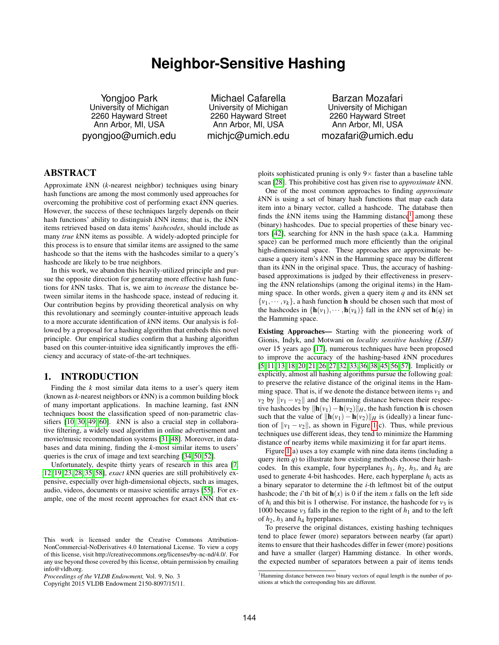# **Neighbor-Sensitive Hashing**

Yongjoo Park University of Michigan 2260 Hayward Street Ann Arbor, MI, USA pyongjoo@umich.edu

Michael Cafarella University of Michigan 2260 Hayward Street Ann Arbor, MI, USA michjc@umich.edu

Barzan Mozafari University of Michigan 2260 Hayward Street Ann Arbor, MI, USA mozafari@umich.edu

# ABSTRACT

Approximate *k*NN (*k*-nearest neighbor) techniques using binary hash functions are among the most commonly used approaches for overcoming the prohibitive cost of performing exact *k*NN queries. However, the success of these techniques largely depends on their hash functions' ability to distinguish *k*NN items; that is, the *k*NN items retrieved based on data items' *hashcodes*, should include as many *true k*NN items as possible. A widely-adopted principle for this process is to ensure that similar items are assigned to the same hashcode so that the items with the hashcodes similar to a query's hashcode are likely to be true neighbors.

In this work, we abandon this heavily-utilized principle and pursue the opposite direction for generating more effective hash functions for *k*NN tasks. That is, we aim to *increase* the distance between similar items in the hashcode space, instead of reducing it. Our contribution begins by providing theoretical analysis on why this revolutionary and seemingly counter-intuitive approach leads to a more accurate identification of *k*NN items. Our analysis is followed by a proposal for a hashing algorithm that embeds this novel principle. Our empirical studies confirm that a hashing algorithm based on this counter-intuitive idea significantly improves the efficiency and accuracy of state-of-the-art techniques.

#### <span id="page-0-1"></span>1. INTRODUCTION

Finding the *k* most similar data items to a user's query item (known as *k*-nearest neighbors or *k*NN) is a common building block of many important applications. In machine learning, fast *k*NN techniques boost the classification speed of non-parametric classifiers [\[10,](#page-11-0) [30,](#page-11-1) [49,](#page-11-2) [60\]](#page-11-3). *k*NN is also a crucial step in collaborative filtering, a widely used algorithm in online advertisement and movie/music recommendation systems [\[31,](#page-11-4)[48\]](#page-11-5). Moreover, in databases and data mining, finding the *k*-most similar items to users' queries is the crux of image and text searching [\[34,](#page-11-6) [50,](#page-11-7) [52\]](#page-11-8).

Unfortunately, despite thirty years of research in this area [\[7,](#page-11-9) [12,](#page-11-10) [19,](#page-11-11) [23,](#page-11-12) [28,](#page-11-13) [35,](#page-11-14) [58\]](#page-11-15), *exact k*NN queries are still prohibitively expensive, especially over high-dimensional objects, such as images, audio, videos, documents or massive scientific arrays [\[55\]](#page-11-16). For example, one of the most recent approaches for exact *k*NN that ex-

Copyright 2015 VLDB Endowment 2150-8097/15/11.

ploits sophisticated pruning is only  $9 \times$  faster than a baseline table scan [\[28\]](#page-11-13). This prohibitive cost has given rise to *approximate k*NN.

One of the most common approaches to finding *approximate k*NN is using a set of binary hash functions that map each data item into a binary vector, called a hashcode. The database then finds the  $kNN$  items using the Hamming distance<sup>[1](#page-0-0)</sup> among these (binary) hashcodes. Due to special properties of these binary vectors [\[42\]](#page-11-17), searching for *k*NN in the hash space (a.k.a. Hamming space) can be performed much more efficiently than the original high-dimensional space. These approaches are approximate because a query item's *k*NN in the Hamming space may be different than its *k*NN in the original space. Thus, the accuracy of hashingbased approximations is judged by their effectiveness in preserving the *k*NN relationships (among the original items) in the Hamming space. In other words, given a query item *q* and its *k*NN set  $\{v_1, \dots, v_k\}$ , a hash function **h** should be chosen such that most of the hashcodes in  $\{h(v_1), \cdots, h(v_k)\}\$  fall in the *kNN* set of  $h(q)$  in the Hamming space.

Existing Approaches— Starting with the pioneering work of Gionis, Indyk, and Motwani on *locality sensitive hashing (LSH)* over 15 years ago [\[17\]](#page-11-18), numerous techniques have been proposed to improve the accuracy of the hashing-based *k*NN procedures [\[5,](#page-11-19) [11,](#page-11-20) [13,](#page-11-21) [18,](#page-11-22) [20,](#page-11-23) [21,](#page-11-24) [26,](#page-11-25) [27,](#page-11-26) [32,](#page-11-27) [33,](#page-11-28) [36,](#page-11-29) [38,](#page-11-30) [45,](#page-11-31) [56,](#page-11-32) [57\]](#page-11-33). Implicitly or explicitly, almost all hashing algorithms pursue the following goal: to preserve the relative distance of the original items in the Hamming space. That is, if we denote the distance between items  $v_1$  and *v*<sub>2</sub> by  $||v_1 - v_2||$  and the Hamming distance between their respective hashcodes by  $\|\mathbf{h}(v_1)-\mathbf{h}(v_2)\|_H$ , the hash function **h** is chosen such that the value of  $\|\mathbf{h}(v_1) - \mathbf{h}(v_2)\|_H$  is (ideally) a linear function of  $\|v_1 - v_2\|$ , as shown in Figure [1\(](#page-1-0)c). Thus, while previous techniques use different ideas, they tend to minimize the Hamming distance of nearby items while maximizing it for far apart items.

Figure [1\(](#page-1-0)a) uses a toy example with nine data items (including a query item  $q$ ) to illustrate how existing methods choose their hashcodes. In this example, four hyperplanes  $h_1$ ,  $h_2$ ,  $h_3$ , and  $h_4$  are used to generate 4-bit hashcodes. Here, each hyperplane *hi* acts as a binary separator to determine the *i*-th leftmost bit of the output hashcode; the *i*'th bit of  $h(x)$  is 0 if the item *x* falls on the left side of  $h_i$  and this bit is 1 otherwise. For instance, the hashcode for  $v_3$  is 1000 because  $v_3$  falls in the region to the right of  $h_1$  and to the left of  $h_2$ ,  $h_3$  and  $h_4$  hyperplanes.

To preserve the original distances, existing hashing techniques tend to place fewer (more) separators between nearby (far apart) items to ensure that their hashcodes differ in fewer (more) positions and have a smaller (larger) Hamming distance. In other words, the expected number of separators between a pair of items tends

This work is licensed under the Creative Commons Attribution-NonCommercial-NoDerivatives 4.0 International License. To view a copy of this license, visit http://creativecommons.org/licenses/by-nc-nd/4.0/. For any use beyond those covered by this license, obtain permission by emailing info@vldb.org.

*Proceedings of the VLDB Endowment,* Vol. 9, No. 3

<span id="page-0-0"></span><sup>&</sup>lt;sup>1</sup>Hamming distance between two binary vectors of equal length is the number of positions at which the corresponding bits are different.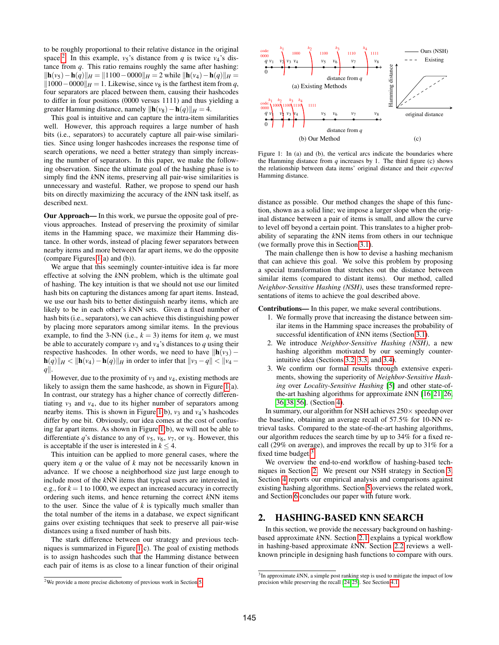to be roughly proportional to their relative distance in the original space.<sup>[2](#page-1-1)</sup> In this example,  $v_5$ 's distance from *q* is twice  $v_4$ 's distance from *q*. This ratio remains roughly the same after hashing:  $\|\mathbf{h}(v_5) - \mathbf{h}(q)\|_H = \|1100 - 0000\|_H = 2$  while  $\|\mathbf{h}(v_4) - \mathbf{h}(q)\|_H =$  $||1000-0000||$ *H* = 1. Likewise, since *v*<sub>8</sub> is the farthest item from *q*, four separators are placed between them, causing their hashcodes to differ in four positions (0000 versus 1111) and thus yielding a greater Hamming distance, namely  $\|\mathbf{h}(v_8)-\mathbf{h}(q)\|_H = 4$ .

This goal is intuitive and can capture the intra-item similarities well. However, this approach requires a large number of hash bits (i.e., separators) to accurately capture all pair-wise similarities. Since using longer hashcodes increases the response time of search operations, we need a better strategy than simply increasing the number of separators. In this paper, we make the following observation. Since the ultimate goal of the hashing phase is to simply find the *k*NN items, preserving all pair-wise similarities is unnecessary and wasteful. Rather, we propose to spend our hash bits on directly maximizing the accuracy of the *k*NN task itself, as described next.

Our Approach— In this work, we pursue the opposite goal of previous approaches. Instead of preserving the proximity of similar items in the Hamming space, we maximize their Hamming distance. In other words, instead of placing fewer separators between nearby items and more between far apart items, we do the opposite (compare Figures [1\(](#page-1-0)a) and (b)).

We argue that this seemingly counter-intuitive idea is far more effective at solving the *k*NN problem, which is the ultimate goal of hashing. The key intuition is that we should not use our limited hash bits on capturing the distances among far apart items. Instead, we use our hash bits to better distinguish nearby items, which are likely to be in each other's *k*NN sets. Given a fixed number of hash bits (i.e., separators), we can achieve this distinguishing power by placing more separators among similar items. In the previous example, to find the 3-NN (i.e.,  $k = 3$ ) items for item *q*, we must be able to accurately compare  $v_3$  and  $v_4$ 's distances to q using their respective hashcodes. In other words, we need to have  $\|\mathbf{h}(v_3)$ **h**(*q*) $||H||$  <  $||$ **h**(*v*<sub>4</sub>)−**h**(*q*) $||H$  in order to infer that  $||v_3 - q||$  <  $||v_4$  $q\|$ .

However, due to the proximity of  $v_3$  and  $v_4$ , existing methods are likely to assign them the same hashcode, as shown in Figure [1\(](#page-1-0)a). In contrast, our strategy has a higher chance of correctly differentiating  $v_3$  and  $v_4$ , due to its higher number of separators among nearby items. This is shown in Figure [1\(](#page-1-0)b),  $v_3$  and  $v_4$ 's hashcodes differ by one bit. Obviously, our idea comes at the cost of confusing far apart items. As shown in Figure [1\(](#page-1-0)b), we will not be able to differentiate *q*'s distance to any of  $v_5$ ,  $v_6$ ,  $v_7$ , or  $v_8$ . However, this is acceptable if the user is interested in  $k \leq 4$ .

This intuition can be applied to more general cases, where the query item *q* or the value of *k* may not be necessarily known in advance. If we choose a neighborhood size just large enough to include most of the *k*NN items that typical users are interested in, e.g., for  $k = 1$  to 1000, we expect an increased accuracy in correctly ordering such items, and hence returning the correct *k*NN items to the user. Since the value of *k* is typically much smaller than the total number of the items in a database, we expect significant gains over existing techniques that seek to preserve all pair-wise distances using a fixed number of hash bits.

The stark difference between our strategy and previous techniques is summarized in Figure [1\(](#page-1-0)c). The goal of existing methods is to assign hashcodes such that the Hamming distance between each pair of items is as close to a linear function of their original

<span id="page-1-1"></span>

<span id="page-1-0"></span>

Figure 1: In (a) and (b), the vertical arcs indicate the boundaries where the Hamming distance from  $q$  increases by 1. The third figure (c) shows the relationship between data items' original distance and their *expected* Hamming distance.

distance as possible. Our method changes the shape of this function, shown as a solid line; we impose a larger slope when the original distance between a pair of items is small, and allow the curve to level off beyond a certain point. This translates to a higher probability of separating the *k*NN items from others in our technique (we formally prove this in Section [3.1\)](#page-3-0).

The main challenge then is how to devise a hashing mechanism that can achieve this goal. We solve this problem by proposing a special transformation that stretches out the distance between similar items (compared to distant items). Our method, called *Neighbor-Sensitive Hashing (NSH)*, uses these transformed representations of items to achieve the goal described above.

Contributions— In this paper, we make several contributions.

- 1. We formally prove that increasing the distance between similar items in the Hamming space increases the probability of successful identification of *k*NN items (Section [3.1\)](#page-3-0).
- 2. We introduce *Neighbor-Sensitive Hashing (NSH)*, a new hashing algorithm motivated by our seemingly counterintuitive idea (Sections [3.2,](#page-3-1) [3.3,](#page-4-0) and [3.4\)](#page-5-0).
- 3. We confirm our formal results through extensive experiments, showing the superiority of *Neighbor-Sensitive Hashing* over *Locality-Sensitive Hashing* [\[5\]](#page-11-19) and other state-ofthe-art hashing algorithms for approximate *k*NN [\[16,](#page-11-34) [21,](#page-11-24) [26,](#page-11-25) [36,](#page-11-29) [38,](#page-11-30) [56\]](#page-11-32). (Section [4\)](#page-6-0).

In summary, our algorithm for NSH achieves  $250\times$  speedup over the baseline, obtaining an average recall of 57.5% for 10-NN retrieval tasks. Compared to the state-of-the-art hashing algorithms, our algorithm reduces the search time by up to 34% for a fixed recall (29% on average), and improves the recall by up to 31% for a fixed time budget. $3$ 

We overview the end-to-end workflow of hashing-based techniques in Section [2.](#page-1-3) We present our NSH strategy in Section [3.](#page-2-0) Section [4](#page-6-0) reports our empirical analysis and comparisons against existing hashing algorithms. Section [5](#page-10-0) overviews the related work, and Section [6](#page-11-35) concludes our paper with future work.

#### <span id="page-1-3"></span>2. HASHING-BASED KNN SEARCH

In this section, we provide the necessary background on hashingbased approximate *k*NN. Section [2.1](#page-2-1) explains a typical workflow in hashing-based approximate *k*NN. Section [2.2](#page-2-2) reviews a wellknown principle in designing hash functions to compare with ours.

<span id="page-1-2"></span><sup>&</sup>lt;sup>3</sup>In approximate kNN, a simple post ranking step is used to mitigate the impact of low precision while preserving the recall [\[24,](#page-11-36) [25\]](#page-11-37). See Section [4.1.](#page-6-1)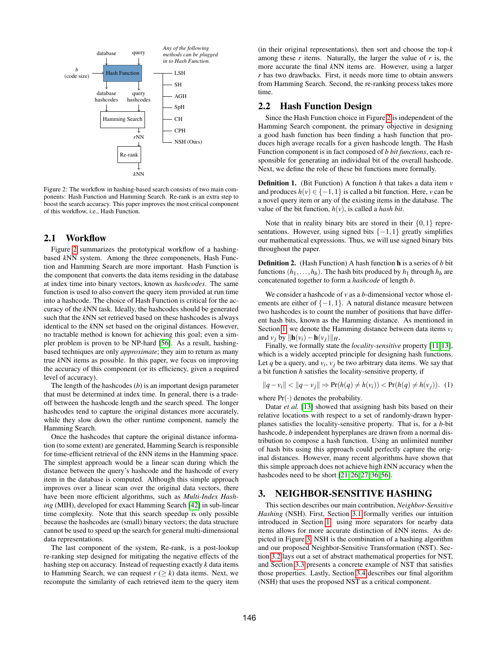<span id="page-2-3"></span>

Figure 2: The workflow in hashing-based search consists of two main components: Hash Function and Hamming Search. Re-rank is an extra step to boost the search accuracy. This paper improves the most critical component of this workflow, i.e., Hash Function.

#### <span id="page-2-1"></span>2.1 Workflow

Figure [2](#page-2-3) summarizes the prototypical workflow of a hashingbased *k*NN system. Among the three componenets, Hash Function and Hamming Search are more important. Hash Function is the component that converts the data items residing in the database at index time into binary vectors, known as *hashcodes*. The same function is used to also convert the query item provided at run time into a hashcode. The choice of Hash Function is critical for the accuracy of the *k*NN task. Ideally, the hashcodes should be generated such that the *k*NN set retrieved based on these hashcodes is always identical to the *k*NN set based on the original distances. However, no tractable method is known for achieving this goal; even a simpler problem is proven to be NP-hard [\[56\]](#page-11-32). As a result, hashingbased techniques are only *approximate*; they aim to return as many true *k*NN items as possible. In this paper, we focus on improving the accuracy of this component (or its efficiency, given a required level of accuracy).

The length of the hashcodes (*b*) is an important design parameter that must be determined at index time. In general, there is a tradeoff between the hashcode length and the search speed. The longer hashcodes tend to capture the original distances more accurately, while they slow down the other runtime component, namely the Hamming Search.

Once the hashcodes that capture the original distance information (to some extent) are generated, Hamming Search is responsible for time-efficient retrieval of the *k*NN items in the Hamming space. The simplest approach would be a linear scan during which the distance between the query's hashcode and the hashcode of every item in the database is computed. Although this simple approach improves over a linear scan over the original data vectors, there have been more efficient algorithms, such as *Multi-Index Hashing* (MIH), developed for exact Hamming Search [\[42\]](#page-11-17) in sub-linear time complexity. Note that this search speedup is only possible because the hashcodes are (small) binary vectors; the data structure cannot be used to speed up the search for general multi-dimensional data representations.

The last component of the system, Re-rank, is a post-lookup re-ranking step designed for mitigating the negative effects of the hashing step on accuracy. Instead of requesting exactly *k* data items to Hamming Search, we can request  $r \geq k$ ) data items. Next, we recompute the similarity of each retrieved item to the query item (in their original representations), then sort and choose the top-*k* among these  $r$  items. Naturally, the larger the value of  $r$  is, the more accurate the final *k*NN items are. However, using a larger *r* has two drawbacks. First, it needs more time to obtain answers from Hamming Search. Second, the re-ranking process takes more time.

# <span id="page-2-2"></span>2.2 Hash Function Design

Since the Hash Function choice in Figure [2](#page-2-3) is independent of the Hamming Search component, the primary objective in designing a good hash function has been finding a hash function that produces high average recalls for a given hashcode length. The Hash Function component is in fact composed of *b bit functions*, each responsible for generating an individual bit of the overall hashcode. Next, we define the role of these bit functions more formally.

Definition 1. (Bit Function) A function *h* that takes a data item *v* and produces  $h(v) \in \{-1, 1\}$  is called a bit function. Here, *v* can be a novel query item or any of the existing items in the database. The value of the bit function, *h*(*v*), is called a *hash bit*.

Note that in reality binary bits are stored in their  $\{0,1\}$  representations. However, using signed bits  $\{-1,1\}$  greatly simplifies our mathematical expressions. Thus, we will use signed binary bits throughout the paper.

Definition 2. (Hash Function) A hash function h is a series of *b* bit functions  $(h_1, \ldots, h_b)$ . The hash bits produced by  $h_1$  through  $h_b$  are concatenated together to form a *hashcode* of length *b*.

We consider a hashcode of *v* as a *b*-dimensional vector whose elements are either of  $\{-1,1\}$ . A natural distance measure between two hashcodes is to count the number of positions that have different hash bits, known as the Hamming distance. As mentioned in Section [1,](#page-0-1) we denote the Hamming distance between data items *vi* and  $v_i$  by  $\|\mathbf{h}(v_i) - \mathbf{h}(v_i)\|_{H}$ .

Finally, we formally state the *locality-sensitive* property [\[11,](#page-11-20)[13\]](#page-11-21), which is a widely accepted principle for designing hash functions. Let  $q$  be a query, and  $v_i$ ,  $v_j$  be two arbitrary data items. We say that a bit function *h* satisfies the locality-sensitive property, if

$$
||q - v_i|| < ||q - v_j|| \Rightarrow Pr(h(q) \neq h(v_i)) < Pr(h(q) \neq h(v_j)).
$$
 (1)

where  $Pr(\cdot)$  denotes the probability.

Datar *et al.* [\[13\]](#page-11-21) showed that assigning hash bits based on their relative locations with respect to a set of randomly-drawn hyperplanes satisfies the locality-sensitive property. That is, for a *b*-bit hashcode, *b* independent hyperplanes are drawn from a normal distribution to compose a hash function. Using an unlimited number of hash bits using this approach could perfectly capture the original distances. However, many recent algorithms have shown that this simple approach does not achieve high *k*NN accuracy when the hashcodes need to be short [\[21,](#page-11-24) [26,](#page-11-25) [27,](#page-11-26) [36,](#page-11-29) [56\]](#page-11-32).

# <span id="page-2-0"></span>3. NEIGHBOR-SENSITIVE HASHING

This section describes our main contribution, *Neighbor-Sensitive Hashing* (NSH). First, Section [3.1](#page-3-0) formally verifies our intuition introduced in Section [1:](#page-0-1) using more separators for nearby data items allows for more accurate distinction of *k*NN items. As depicted in Figure [3,](#page-3-2) NSH is the combination of a hashing algorithm and our proposed Neighbor-Sensitive Transformation (NST). Section [3.2](#page-3-1) lays out a set of abstract mathematical properties for NST, and Section [3.3](#page-4-0) presents a concrete example of NST that satisfies those properties. Lastly, Section [3.4](#page-5-0) describes our final algorithm (NSH) that uses the proposed NST as a critical component.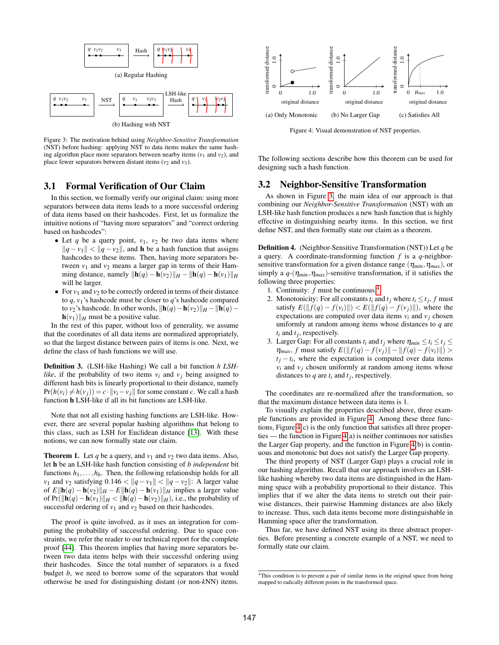<span id="page-3-2"></span>

Figure 3: The motivation behind using *Neighbor-Sensitive Transformation* (NST) before hashing: applying NST to data items makes the same hashing algorithm place more separators between nearby items  $(v_1$  and  $v_2)$ , and place fewer separators between distant items  $(v_2 \text{ and } v_3)$ .

# <span id="page-3-0"></span>3.1 Formal Verification of Our Claim

In this section, we formally verify our original claim: using more separators between data items leads to a more successful ordering of data items based on their hashcodes. First, let us formalize the intuitive notions of "having more separators" and "correct ordering based on hashcodes":

- Let  $q$  be a query point,  $v_1$ ,  $v_2$  be two data items where  $||q - v_1|| < ||q - v_2||$ , and **h** be a hash function that assigns hashcodes to these items. Then, having more separators between  $v_1$  and  $v_2$  means a larger gap in terms of their Hamming distance, namely  $\|\mathbf{h}(q) - \mathbf{h}(v_2)\|_H - \|\mathbf{h}(q) - \mathbf{h}(v_1)\|_H$ will be larger.
- For  $v_1$  and  $v_2$  to be correctly ordered in terms of their distance to  $q$ ,  $v_1$ 's hashcode must be closer to  $q$ 's hashcode compared to *v*<sub>2</sub>'s hashcode. In other words,  $\|\mathbf{h}(q)-\mathbf{h}(v_2)\|_H - \|\mathbf{h}(q)-\mathbf{v}_2\|_F$  $\mathbf{h}(v_1)\|_H$  must be a positive value.

In the rest of this paper, without loss of generality, we assume that the coordinates of all data items are normalized appropriately, so that the largest distance between pairs of items is one. Next, we define the class of hash functions we will use.

Definition 3. (LSH-like Hashing) We call a bit function *h LSHlike*, if the probability of two items  $v_i$  and  $v_j$  being assigned to different hash bits is linearly proportional to their distance, namely  $Pr(h(v_i) \neq h(v_j)) = c \cdot ||v_i - v_j||$  for some constant *c*. We call a hash function h LSH-like if all its bit functions are LSH-like.

Note that not all existing hashing functions are LSH-like. However, there are several popular hashing algorithms that belong to this class, such as LSH for Euclidean distance [\[13\]](#page-11-21). With these notions, we can now formally state our claim.

**Theorem 1.** Let *q* be a query, and  $v_1$  and  $v_2$  two data items. Also, let h be an LSH-like hash function consisting of *b independent* bit functions  $h_1, \ldots, h_b$ . Then, the following relationship holds for all *v*<sub>1</sub> and *v*<sub>2</sub> satisfying 0.146 <  $||q - v_1||$  <  $||q - v_2||$ : A larger value of  $E\|\mathbf{h}(q) - \mathbf{h}(v_2)\|_H - E\|\mathbf{h}(q) - \mathbf{h}(v_1)\|_H$  implies a larger value of Pr( $\|\mathbf{h}(q) - \mathbf{h}(v_1)\|_H < \|\mathbf{h}(q) - \mathbf{h}(v_2)\|_H$ ), i.e., the probability of successful ordering of  $v_1$  and  $v_2$  based on their hashcodes.

The proof is quite involved, as it uses an integration for computing the probability of successful ordering. Due to space constraints, we refer the reader to our technical report for the complete proof [\[44\]](#page-11-38). This theorem implies that having more separators between two data items helps with their successful ordering using their hashcodes. Since the total number of separators is a fixed budget *b*, we need to borrow some of the separators that would otherwise be used for distinguishing distant (or non-*k*NN) items.

<span id="page-3-4"></span>

Figure 4: Visual demonstration of NST properties.

The following sections describe how this theorem can be used for designing such a hash function.

#### <span id="page-3-1"></span>3.2 Neighbor-Sensitive Transformation

As shown in Figure [3,](#page-3-2) the main idea of our approach is that combining our *Neighbor-Sensitive Transformation* (NST) with an LSH-like hash function produces a new hash function that is highly effective in distinguishing nearby items. In this section, we first define NST, and then formally state our claim as a theorem.

<span id="page-3-5"></span>Definition 4. (Neighbor-Sensitive Transformation (NST)) Let *q* be a query. A coordinate-transforming function *f* is a *q*-neighborsensitive transformation for a given distance range  $(\eta_{min}, \eta_{max})$ , or simply a  $q$ -( $\eta_{min}, \eta_{max}$ )-sensitive transformation, if it satisfies the following three properties:

- 1. Continuity: *f* must be continuous.[4](#page-3-3)
- 2. Monotonicity: For all constants  $t_i$  and  $t_j$  where  $t_i \leq t_j$ ,  $f$  must satisfy  $E(||f(q) - f(v_i)||) < E(||f(q) - f(v_i)||)$ , where the expectations are computed over data items  $v_i$  and  $v_j$  chosen uniformly at random among items whose distances to *q* are  $t_i$  and  $t_j$ , respectively.
- 3. Larger Gap: For all constants  $t_i$  and  $t_j$  where  $\eta_{min} \le t_i \le t_j \le$  $\eta_{max}$ , *f* must satisfy  $E(||f(q) - f(v_i)|| - ||f(q) - f(v_i)||)$  $t_j - t_i$ , where the expectation is computed over data items  $v_i$  and  $v_j$  chosen uniformly at random among items whose distances to  $q$  are  $t_i$  and  $t_j$ , respectively.

The coordinates are re-normalized after the transformation, so that the maximum distance between data items is 1.

To visually explain the properties described above, three example functions are provided in Figure [4.](#page-3-4) Among these three functions, Figure [4\(](#page-3-4)c) is the only function that satisfies all three properties — the function in Figure [4\(](#page-3-4)a) is neither continuous nor satisfies the Larger Gap property, and the function in Figure [4\(](#page-3-4)b) is continuous and monotonic but does not satisfy the Larger Gap property.

The third property of NST (Larger Gap) plays a crucial role in our hashing algorithm. Recall that our approach involves an LSHlike hashing whereby two data items are distinguished in the Hamming space with a probability proportional to their distance. This implies that if we alter the data items to stretch out their pairwise distances, their pairwise Hamming distances are also likely to increase. Thus, such data items become more distinguishable in Hamming space after the transformation.

Thus far, we have defined NST using its three abstract properties. Before presenting a concrete example of a NST, we need to formally state our claim.

<span id="page-3-3"></span><sup>4</sup>This condition is to prevent a pair of similar items in the original space from being mapped to radically different points in the transformed space.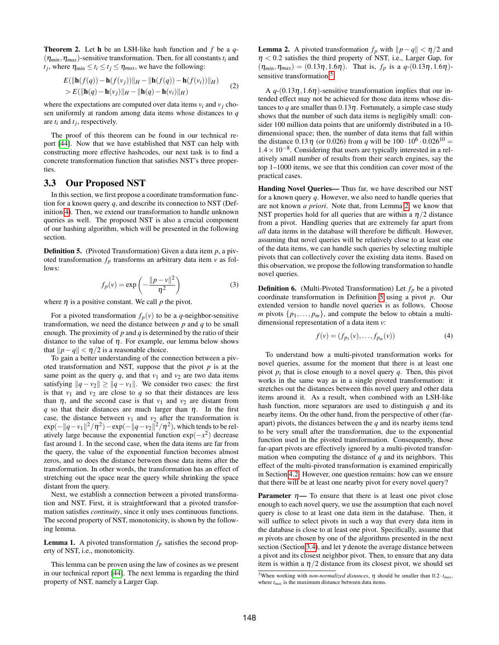Theorem 2. Let h be an LSH-like hash function and *f* be a *q*-  $(\eta_{min}, \eta_{max})$ -sensitive transformation. Then, for all constants  $t_i$  and *t*<sub>*j*</sub>, where  $\eta_{min} \le t_i \le t_j \le \eta_{max}$ , we have the following:

$$
E(||\mathbf{h}(f(q)) - \mathbf{h}(f(v_j))||_H - ||\mathbf{h}(f(q)) - \mathbf{h}(f(v_i))||_H)
$$
  
> E(||\mathbf{h}(q) - \mathbf{h}(v\_j)||\_H - ||\mathbf{h}(q) - \mathbf{h}(v\_i)||\_H) (2)

where the expectations are computed over data items  $v_i$  and  $v_j$  chosen uniformly at random among data items whose distances to *q* are *ti* and *tj* , respectively.

The proof of this theorem can be found in our technical report [\[44\]](#page-11-38). Now that we have established that NST can help with constructing more effective hashcodes, our next task is to find a concrete transformation function that satisfies NST's three properties.

# <span id="page-4-0"></span>3.3 Our Proposed NST

In this section, we first propose a coordinate transformation function for a known query *q*, and describe its connection to NST (Definition [4\)](#page-3-5). Then, we extend our transformation to handle unknown queries as well. The proposed NST is also a crucial component of our hashing algorithm, which will be presented in the following section.

<span id="page-4-3"></span>Definition 5. (Pivoted Transformation) Given a data item *p*, a pivoted transformation  $f_p$  transforms an arbitrary data item  $v$  as follows:

$$
f_p(v) = \exp\left(-\frac{\|p - v\|^2}{\eta^2}\right) \tag{3}
$$

where  $\eta$  is a positive constant. We call  $p$  the pivot.

For a pivoted transformation  $f_p(v)$  to be a *q*-neighbor-sensitive transformation, we need the distance between *p* and *q* to be small enough. The proximity of *p* and *q* is determined by the ratio of their distance to the value of  $\eta$ . For example, our lemma below shows that  $||p-q|| < \eta/2$  is a reasonable choice.

To gain a better understanding of the connection between a pivoted transformation and NST, suppose that the pivot *p* is at the same point as the query  $q$ , and that  $v_1$  and  $v_2$  are two data items satisfying  $||q - v_2|| \ge ||q - v_1||$ . We consider two cases: the first is that  $v_1$  and  $v_2$  are close to  $q$  so that their distances are less than  $\eta$ , and the second case is that  $v_1$  and  $v_2$  are distant from *q* so that their distances are much larger than  $\eta$ . In the first case, the distance between  $v_1$  and  $v_2$  after the transformation is  $\exp(-\|q - v_1\|^2/\eta^2) - \exp(-\|q - v_2\|^2/\eta^2)$ , which tends to be relatively large because the exponential function  $exp(-x^2)$  decrease fast around 1. In the second case, when the data items are far from the query, the value of the exponential function becomes almost zeros, and so does the distance between those data items after the transformation. In other words, the transformation has an effect of stretching out the space near the query while shrinking the space distant from the query.

Next, we establish a connection between a pivoted transformation and NST. First, it is straightforward that a pivoted transformation satisfies *continuity*, since it only uses continuous functions. The second property of NST, monotonicity, is shown by the following lemma.

**Lemma 1.** A pivoted transformation  $f_p$  satisfies the second property of NST, i.e., monotonicity.

This lemma can be proven using the law of cosines as we present in our technical report [\[44\]](#page-11-38). The next lemma is regarding the third property of NST, namely a Larger Gap.

<span id="page-4-2"></span>**Lemma 2.** A pivoted transformation  $f_p$  with  $||p - q|| < \eta/2$  and  $\eta$  < 0.2 satisfies the third property of NST, i.e., Larger Gap, for  $(\eta_{min}, \eta_{max}) = (0.13\eta, 1.6\eta)$ . That is,  $f_p$  is a  $q-(0.13\eta, 1.6\eta)$ -sensitive transformation.<sup>[5](#page-4-1)</sup>

A  $q-(0.13\eta,1.6\eta)$ -sensitive transformation implies that our intended effect may not be achieved for those data items whose distances to *q* are smaller than  $0.13\eta$ . Fortunately, a simple case study shows that the number of such data items is negligibly small: consider 100 million data points that are uniformly distributed in a 10 dimensional space; then, the number of data items that fall within the distance  $0.13 \eta$  (or 0.026) from *q* will be  $100 \cdot 10^6 \cdot 0.026^{10}$  = 1.4×10−<sup>8</sup> . Considering that users are typically interested in a relatively small number of results from their search engines, say the top 1–1000 items, we see that this condition can cover most of the practical cases.

Handing Novel Queries— Thus far, we have described our NST for a known query *q*. However, we also need to handle queries that are not known *a priori*. Note that, from Lemma [2,](#page-4-2) we know that NST properties hold for all queries that are within a  $\eta/2$  distance from a pivot. Handling queries that are extremely far apart from *all* data items in the database will therefore be difficult. However, assuming that novel queries will be relatively close to at least one of the data items, we can handle such queries by selecting multiple pivots that can collectively cover the existing data items. Based on this observation, we propose the following transformation to handle novel queries.

<span id="page-4-4"></span>**Definition 6.** (Multi-Pivoted Transformation) Let  $f_p$  be a pivoted coordinate transformation in Definition [5](#page-4-3) using a pivot *p*. Our extended version to handle novel queries is as follows. Choose *m* pivots  $\{p_1, \ldots, p_m\}$ , and compute the below to obtain a multidimensional representation of a data item *v*:

$$
f(v) = (f_{p_1}(v), \dots, f_{p_m}(v))
$$
 (4)

To understand how a multi-pivoted transformation works for novel queries, assume for the moment that there is at least one pivot  $p_i$  that is close enough to a novel query  $q$ . Then, this pivot works in the same way as in a single pivoted transformation: it stretches out the distances between this novel query and other data items around it. As a result, when combined with an LSH-like hash function, more separators are used to distinguish *q* and its nearby items. On the other hand, from the perspective of other (farapart) pivots, the distances between the *q* and its nearby items tend to be very small after the transformation, due to the exponential function used in the pivoted transformation. Consequently, those far-apart pivots are effectively ignored by a multi-pivoted transformation when computing the distance of *q* and its neighbors. This effect of the multi-pivoted transformation is examined empirically in Section [4.2.](#page-7-0) However, one question remains: how can we ensure that there will be at least one nearby pivot for every novel query?

**Parameter**  $\eta$ — To ensure that there is at least one pivot close enough to each novel query, we use the assumption that each novel query is close to at least one data item in the database. Then, it will suffice to select pivots in such a way that every data item in the database is close to at least one pivot. Specifically, assume that *m* pivots are chosen by one of the algorithms presented in the next section (Section [3.4\)](#page-5-0), and let  $\gamma$  denote the average distance between a pivot and its closest neighbor pivot. Then, to ensure that any data item is within a  $\eta/2$  distance from its closest pivot, we should set

<span id="page-4-1"></span><sup>&</sup>lt;sup>5</sup>When working with *non-normalized distances*,  $\eta$  should be smaller than 0.2 ·  $t_{max}$ , where *tmax* is the maximum distance between data items.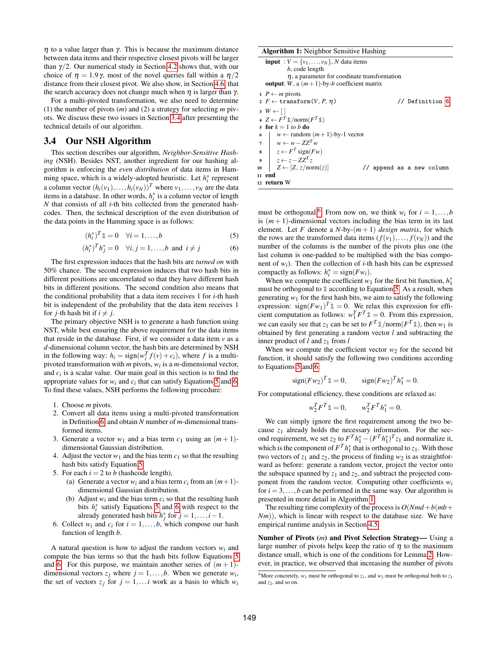$η$  to a value larger than γ. This is because the maximum distance between data items and their respective closest pivots will be larger than  $\gamma/2$ . Our numerical study in Section [4.2](#page-7-0) shows that, with our choice of  $\eta = 1.9\gamma$ , most of the novel queries fall within a  $\eta/2$ distance from their closest pivot. We also show, in Section [4.6,](#page-9-0) that the search accuracy does not change much when  $\eta$  is larger than  $\gamma$ .

For a multi-pivoted transformation, we also need to determine (1) the number of pivots (*m*) and (2) a strategy for selecting *m* pivots. We discuss these two issues in Section [3.4](#page-5-0) after presenting the technical details of our algorithm.

# <span id="page-5-0"></span>3.4 Our NSH Algorithm

This section describes our algorithm, *Neighbor-Sensitive Hashing* (NSH). Besides NST, another ingredient for our hashing algorithm is enforcing the *even distribution* of data items in Hamming space, which is a widely-adopted heuristic. Let  $h_i^*$  represent a column vector  $(h_i(v_1),...,h_i(v_N))^T$  where  $v_1,...,v_N$  are the data items in a database. In other words,  $h_i^*$  is a column vector of length *N* that consists of all *i*-th bits collected from the generated hashcodes. Then, the technical description of the even distribution of the data points in the Hamming space is as follows:

$$
(h_i^*)^T \mathbb{1} = 0 \quad \forall i = 1, \dots, b \tag{5}
$$

$$
(h_i^*)^T h_j^* = 0 \quad \forall i, j = 1, ..., b \text{ and } i \neq j
$$
 (6)

The first expression induces that the hash bits are *turned on* with 50% chance. The second expression induces that two hash bits in different positions are uncorrelated so that they have different hash bits in different positions. The second condition also means that the conditional probability that a data item receives 1 for *i*-th hash bit is independent of the probability that the data item receives 1 for *j*-th hash bit if  $i \neq j$ .

The primary objective NSH is to generate a hash function using NST, while best ensuring the above requirement for the data items that reside in the database. First, if we consider a data item  $v$  as a *d*-dimensional column vector, the hash bits are determined by NSH in the following way:  $h_i = sign(w_i^T f(v) + c_i)$ , where *f* is a multipivoted transformation with *m* pivots, *wi* is a *m*-dimensional vector, and  $c_i$  is a scalar value. Our main goal in this section is to find the appropriate values for  $w_i$  and  $c_i$  that can satisfy Equations [5](#page-5-1) and [6.](#page-5-2) To find these values, NSH performs the following procedure:

- 1. Choose *m* pivots.
- 2. Convert all data items using a multi-pivoted transformation in Definition [6,](#page-4-4) and obtain *N* number of *m*-dimensional transformed items.
- 3. Generate a vector  $w_1$  and a bias term  $c_1$  using an  $(m+1)$ dimensional Gaussian distribution.
- 4. Adjust the vector  $w_1$  and the bias term  $c_1$  so that the resulting hash bits satisfy Equation [5.](#page-5-1)
- 5. For each  $i = 2$  to *b* (hashcode length),
	- (a) Generate a vector  $w_i$  and a bias term  $c_i$  from an  $(m+1)$ dimensional Gaussian distribution.
	- (b) Adjust  $w_i$  and the bias term  $c_i$  so that the resulting hash bits  $h_i^*$  satisfy Equations [5](#page-5-1) and [6](#page-5-2) with respect to the already generated hash bits  $h_j^*$  for  $j = 1, ..., i - 1$ .
- 6. Collect  $w_i$  and  $c_i$  for  $i = 1, \ldots, b$ , which compose our hash function of length *b*.

A natural question is how to adjust the random vectors  $w_i$  and compute the bias terms so that the hash bits follow Equations [5](#page-5-1) and [6.](#page-5-2) For this purpose, we maintain another series of  $(m + 1)$ dimensional vectors  $z_j$  where  $j = 1, \ldots, b$ . When we generate  $w_i$ , the set of vectors  $z_j$  for  $j = 1,...i$  work as a basis to which  $w_i$ 

#### Algorithm 1: Neighbor Sensitive Hashing

|                | <b>input</b> : $V = \{v_1, \ldots, v_N\}$ , N data items                                                   |  |  |  |  |
|----------------|------------------------------------------------------------------------------------------------------------|--|--|--|--|
|                | $b$ , code length                                                                                          |  |  |  |  |
|                | $\eta$ , a parameter for coodinate transformation                                                          |  |  |  |  |
|                | <b>output</b> : W, a $(m+1)$ -by-b coefficient matrix                                                      |  |  |  |  |
|                | $1 \, P \leftarrow m$ pivots                                                                               |  |  |  |  |
|                | 2 $F \leftarrow$ transform(V, P, $\eta$ )<br>// Definition 6                                               |  |  |  |  |
|                | $3 W \leftarrow  $<br>4 $Z \leftarrow F^T \mathbb{1}/\text{norm}(F^T \mathbb{1})$                          |  |  |  |  |
|                | 5 for $k = 1$ to b do                                                                                      |  |  |  |  |
|                |                                                                                                            |  |  |  |  |
| 6              | $w \leftarrow$ random $(m+1)$ -by-1 vector                                                                 |  |  |  |  |
| $\overline{7}$ | $\begin{aligned}\n &\begin{matrix}\n & \cdots \\ & & w \leftarrow w - ZZ^T w\n\end{matrix}\n\end{aligned}$ |  |  |  |  |
|                | $\mathbf{s}$ $z \leftarrow F^T$ sign( <i>Fw</i> )                                                          |  |  |  |  |
|                | 9 $z \leftarrow z - ZZ^T z$                                                                                |  |  |  |  |
| 10             | $Z \leftarrow [Z, z/norm(z)]$<br>// append as a new column                                                 |  |  |  |  |
|                | 11 end                                                                                                     |  |  |  |  |
|                | 12 return W                                                                                                |  |  |  |  |

<span id="page-5-4"></span><span id="page-5-2"></span><span id="page-5-1"></span>must be orthogonal.<sup>[6](#page-5-3)</sup> From now on, we think  $w_i$  for  $i = 1, \ldots, b$ is  $(m+1)$ -dimensional vectors including the bias term in its last element. Let *F* denote a *N*-by- $(m + 1)$  *design matrix*, for which the rows are the transformed data items  $(f(v_1),..., f(v_N))$  and the number of the columns is the number of the pivots plus one (the last column is one-padded to be multiplied with the bias component of  $w_i$ ). Then the collection of *i*-th hash bits can be expressed compactly as follows:  $h_i^* = sign(Fw_i)$ .

When we compute the coefficient  $w_1$  for the first bit function,  $h_1^*$ must be orthogonal to **1** according to Equation [5.](#page-5-1) As a result, when generating  $w_1$  for the first hash bits, we aim to satisfy the following expression:  $\text{sign}(Fw_1)^T \mathbb{1} = 0$ . We relax this expression for efficient computation as follows:  $w_1^T F^T \mathbb{1} = 0$ . From this expression, we can easily see that  $z_1$  can be set to  $F^T \mathbb{1}/\text{norm}(F^T \mathbb{1})$ , then  $w_1$  is obtained by first generating a random vector *l* and subtracting the inner product of *l* and *z*<sup>1</sup> from *l*

When we compute the coefficient vector  $w_2$  for the second bit function, it should satisfy the following two conditions according to Equations [5](#page-5-1) and [6:](#page-5-2)

$$
sign(Fw_2)^T \mathbb{1} = 0
$$
,  $sign(Fw_2)^T h_1^* = 0$ .

For computational efficiency, these conditions are relaxed as:

$$
w_2^T F^T \mathbb{1} = 0, \qquad w_2^T F^T h_1^* = 0.
$$

We can simply ignore the first requirement among the two because *z*<sup>1</sup> already holds the necessary information. For the second requirement, we set  $z_2$  to  $F^T h_1^* - (F^T h_1^*)^T z_1$  and normalize it, which is the component of  $F^T h_1^*$  that is orthogonal to  $z_1$ . With those two vectors of  $z_1$  and  $z_2$ , the process of finding  $w_2$  is as straightforward as before: generate a random vector, project the vector onto the subspace spanned by  $z_1$  and  $z_2$ , and subtract the projected component from the random vector. Computing other coefficients *wi* for  $i = 3, \ldots, b$  can be performed in the same way. Our algorithm is presented in more detail in Algorithm [1.](#page-5-4)

The resulting time complexity of the process is  $O(Nmd+b(mb+$ *Nm*)), which is linear with respect to the database size. We have empirical runtime analysis in Section [4.5.](#page-9-1)

Number of Pivots (*m*) and Pivot Selection Strategy— Using a large number of pivots helps keep the ratio of  $\eta$  to the maximum distance small, which is one of the conditions for Lemma [2.](#page-4-2) However, in practice, we observed that increasing the number of pivots

<span id="page-5-3"></span><sup>&</sup>lt;sup>6</sup>More concretely,  $w_1$  must be orthogonal to  $z_1$ , and  $w_2$  must be orthogonal both to  $z_1$ and  $z_2$ , and so on.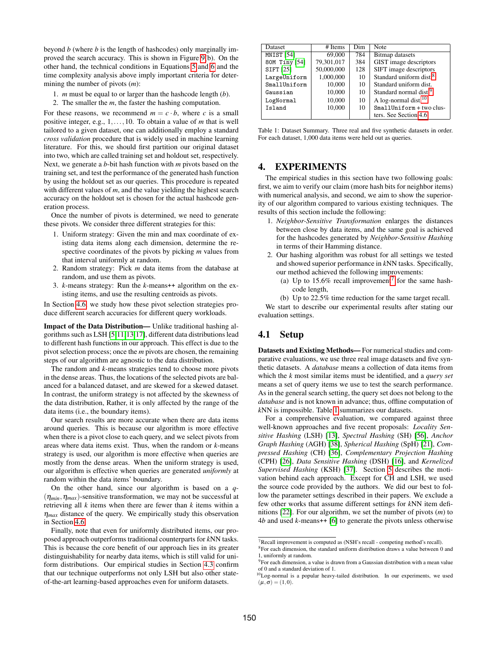beyond *b* (where *b* is the length of hashcodes) only marginally improved the search accuracy. This is shown in Figure [9\(](#page-10-1)b). On the other hand, the technical conditions in Equations [5](#page-5-1) and [6](#page-5-2) and the time complexity analysis above imply important criteria for determining the number of pivots (*m*):

- 1. *m* must be equal to or larger than the hashcode length (*b*).
- 2. The smaller the *m*, the faster the hashing computation.

For these reasons, we recommend  $m = c \cdot b$ , where *c* is a small positive integer, e.g., 1,...,10. To obtain a value of *m* that is well tailored to a given dataset, one can additionally employ a standard *cross validation* procedure that is widely used in machine learning literature. For this, we should first partition our original dataset into two, which are called training set and holdout set, respectively. Next, we generate a *b*-bit hash function with *m* pivots based on the training set, and test the performance of the generated hash function by using the holdout set as our queries. This procedure is repeated with different values of *m*, and the value yielding the highest search accuracy on the holdout set is chosen for the actual hashcode generation process.

Once the number of pivots is determined, we need to generate these pivots. We consider three different strategies for this:

- 1. Uniform strategy: Given the min and max coordinate of existing data items along each dimension, determine the respective coordinates of the pivots by picking *m* values from that interval uniformly at random.
- 2. Random strategy: Pick *m* data items from the database at random, and use them as pivots.
- 3. *k*-means strategy: Run the *k*-means++ algorithm on the existing items, and use the resulting centroids as pivots.

In Section [4.6,](#page-9-0) we study how these pivot selection strategies produce different search accuracies for different query workloads.

Impact of the Data Distribution— Unlike traditional hashing algorithms such as LSH [\[5](#page-11-19)[,11](#page-11-20)[,13,](#page-11-21)[17\]](#page-11-18), different data distributions lead to different hash functions in our approach. This effect is due to the pivot selection process; once the *m* pivots are chosen, the remaining steps of our algorithm are agnostic to the data distribution.

The random and *k*-means strategies tend to choose more pivots in the dense areas. Thus, the locations of the selected pivots are balanced for a balanced dataset, and are skewed for a skewed dataset. In contrast, the uniform strategy is not affected by the skewness of the data distribution, Rather, it is only affected by the range of the data items (i.e., the boundary items).

Our search results are more accurate when there are data items around queries. This is because our algorithm is more effective when there is a pivot close to each query, and we select pivots from areas where data items exist. Thus, when the random or *k*-means strategy is used, our algorithm is more effective when queries are mostly from the dense areas. When the uniform strategy is used, our algorithm is effective when queries are generated *uniformly* at random within the data items' boundary.

On the other hand, since our algorithm is based on a *q*-  $(\eta_{min}, \eta_{max})$ -sensitive transformation, we may not be successful at retrieving all *k* items when there are fewer than *k* items within a  $\eta_{max}$  distance of the query. We empirically study this observation in Section [4.6.](#page-9-0)

Finally, note that even for uniformly distributed items, our proposed approach outperforms traditional counterparts for *k*NN tasks. This is because the core benefit of our approach lies in its greater distinguishability for nearby data items, which is still valid for uniform distributions. Our empirical studies in Section [4.3](#page-8-0) confirm that our technique outperforms not only LSH but also other stateof-the-art learning-based approaches even for uniform datasets.

<span id="page-6-6"></span>

| <b>Dataset</b>        | # Items    | Dim | Note                                |
|-----------------------|------------|-----|-------------------------------------|
| MNIST <sub>[54]</sub> | 69,000     |     | <b>Bitmap</b> datasets              |
| 80M Tiny [54]         | 79,301,017 | 384 | GIST image descriptors              |
| SIFT [25]             | 50,000,000 | 128 | SIFT image descriptors              |
| LargeUniform          | 1.000.000  | 10  | Standard uniform dist. <sup>8</sup> |
| SmallUniform          | 10,000     | 10  | Standard uniform dist.              |
| Gaussian              | 10,000     | 10  | Standard normal dist. <sup>9</sup>  |
| LogNormal             | 10,000     | 10  | A log-normal dist. <sup>10</sup>    |
| Island                | 10.000     | 10  | SmallUniform + two clus-            |
|                       |            |     | ters. See Section 4.6.              |

Table 1: Dataset Summary. Three real and five synthetic datasets in order. For each dataset, 1,000 data items were held out as queries.

# <span id="page-6-0"></span>4. EXPERIMENTS

The empirical studies in this section have two following goals: first, we aim to verify our claim (more hash bits for neighbor items) with numerical analysis, and second, we aim to show the superiority of our algorithm compared to various existing techniques. The results of this section include the following:

- 1. *Neighbor-Sensitive Transformation* enlarges the distances between close by data items, and the same goal is achieved for the hashcodes generated by *Neighbor-Sensitive Hashing* in terms of their Hamming distance.
- 2. Our hashing algorithm was robust for all settings we tested and showed superior performance in *k*NN tasks. Specifically, our method achieved the following improvements:
	- (a) Up to 15.6% recall improvement<sup>[7](#page-6-5)</sup> for the same hashcode length,
	- (b) Up to 22.5% time reduction for the same target recall.

We start to describe our experimental results after stating our evaluation settings.

# <span id="page-6-1"></span>4.1 Setup

Datasets and Existing Methods— For numerical studies and comparative evaluations, we use three real image datasets and five synthetic datasets. A *database* means a collection of data items from which the *k* most similar items must be identified, and a *query set* means a set of query items we use to test the search performance. As in the general search setting, the query set does not belong to the *database* and is not known in advance; thus, offline computation of *k*NN is impossible. Table [1](#page-6-6) summarizes our datasets.

For a comprehensive evaluation, we compared against three well-known approaches and five recent proposals: *Locality Sensitive Hashing* (LSH) [\[13\]](#page-11-21), *Spectral Hashing* (SH) [\[56\]](#page-11-32), *Anchor Graph Hashing* (AGH) [\[38\]](#page-11-30), *Spherical Hashing* (SpH) [\[21\]](#page-11-24), *Compressed Hashing* (CH) [\[36\]](#page-11-29), *Complementary Projection Hashing* (CPH) [\[26\]](#page-11-25), *Data Sensitive Hashing* (DSH) [\[16\]](#page-11-34), and *Kernelized Supervised Hashing* (KSH) [\[37\]](#page-11-40). Section [5](#page-10-0) describes the motivation behind each approach. Except for CH and LSH, we used the source code provided by the authors. We did our best to follow the parameter settings described in their papers. We exclude a few other works that assume different settings for *k*NN item definitions [\[22\]](#page-11-41). For our algorithm, we set the number of pivots (*m*) to 4*b* and used *k*-means++ [\[6\]](#page-11-42) to generate the pivots unless otherwise

<span id="page-6-5"></span> $7$ Recall improvement is computed as (NSH's recall - competing method's recall).

<span id="page-6-2"></span><sup>&</sup>lt;sup>8</sup>For each dimension, the standard uniform distribution draws a value between 0 and

<span id="page-6-3"></span><sup>1,</sup> uniformly at random. <sup>9</sup>For each dimension, a value is drawn from a Gaussian distribution with a mean value of 0 and a standard deviation of 1.

<span id="page-6-4"></span><sup>&</sup>lt;sup>10</sup>Log-normal is a popular heavy-tailed distribution. In our experiments, we used  $(\mu,\sigma) = (1,0).$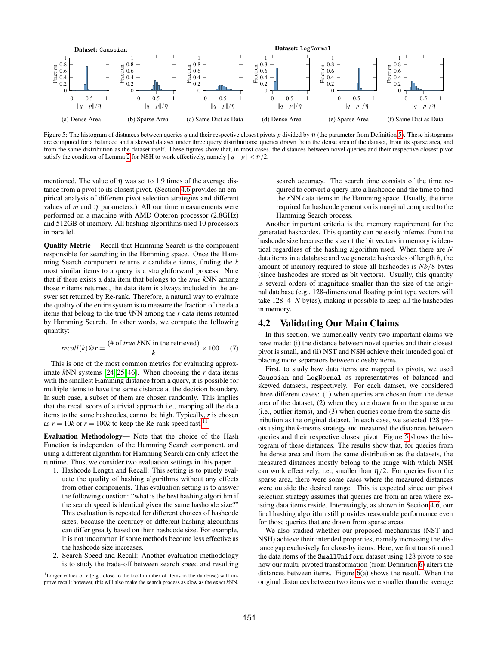<span id="page-7-2"></span>

Figure 5: The histogram of distances between queries *q* and their respective closest pivots *p* divided by η (the parameter from Definition [5\)](#page-4-3). These histograms are computed for a balanced and a skewed dataset under three query distributions: queries drawn from the dense area of the dataset, from its sparse area, and from the same distribution as the dataset itself. These figures show that, in most cases, the distances between novel queries and their respective closest pivot satisfy the condition of Lemma [2](#page-4-2) for NSH to work effectively, namely  $||q - p|| < \eta/2$ .

mentioned. The value of  $\eta$  was set to 1.9 times of the average distance from a pivot to its closest pivot. (Section [4.6](#page-9-0) provides an empirical analysis of different pivot selection strategies and different values of  $m$  and  $\eta$  parameters.) All our time measurements were performed on a machine with AMD Opteron processor (2.8GHz) and 512GB of memory. All hashing algorithms used 10 processors in parallel.

Quality Metric— Recall that Hamming Search is the component responsible for searching in the Hamming space. Once the Hamming Search component returns *r* candidate items, finding the *k* most similar items to a query is a straightforward process. Note that if there exists a data item that belongs to the *true k*NN among those *r* items returned, the data item is always included in the answer set returned by Re-rank. Therefore, a natural way to evaluate the quality of the entire system is to measure the fraction of the data items that belong to the true *k*NN among the *r* data items returned by Hamming Search. In other words, we compute the following quantity:

$$
recall(k) @ r = \frac{(\text{# of true } kNN \text{ in the retrieved})}{k} \times 100. \quad (7)
$$

This is one of the most common metrics for evaluating approximate *k*NN systems [\[24,](#page-11-36) [25,](#page-11-37) [46\]](#page-11-43). When choosing the *r* data items with the smallest Hamming distance from a query, it is possible for multiple items to have the same distance at the decision boundary. In such case, a subset of them are chosen randomly. This implies that the recall score of a trivial approach i.e., mapping all the data items to the same hashcodes, cannot be high. Typically, *r* is chosen as  $r = 10k$  or  $r = 100k$  to keep the Re-rank speed fast.<sup>[11](#page-7-1)</sup>

Evaluation Methodology— Note that the choice of the Hash Function is independent of the Hamming Search component, and using a different algorithm for Hamming Search can only affect the runtime. Thus, we consider two evaluation settings in this paper.

- 1. Hashcode Length and Recall: This setting is to purely evaluate the quality of hashing algorithms without any effects from other components. This evaluation setting is to answer the following question: "what is the best hashing algorithm if the search speed is identical given the same hashcode size?" This evaluation is repeated for different choices of hashcode sizes, because the accuracy of different hashing algorithms can differ greatly based on their hashcode size. For example, it is not uncommon if some methods become less effective as the hashcode size increases.
- 2. Search Speed and Recall: Another evaluation methodology is to study the trade-off between search speed and resulting

search accuracy. The search time consists of the time required to convert a query into a hashcode and the time to find the *r*NN data items in the Hamming space. Usually, the time required for hashcode generation is marginal compared to the Hamming Search process.

Another important criteria is the memory requirement for the generated hashcodes. This quantity can be easily inferred from the hashcode size because the size of the bit vectors in memory is identical regardless of the hashing algorithm used. When there are *N* data items in a database and we generate hashcodes of length *b*, the amount of memory required to store all hashcodes is *Nb*/8 bytes (since hashcodes are stored as bit vectors). Usually, this quantity is several orders of magnitude smaller than the size of the original database (e.g., 128-dimensional floating point type vectors will take  $128 \cdot 4 \cdot N$  bytes), making it possible to keep all the hashcodes in memory.

# <span id="page-7-0"></span>4.2 Validating Our Main Claims

In this section, we numerically verify two important claims we have made: (i) the distance between novel queries and their closest pivot is small, and (ii) NST and NSH achieve their intended goal of placing more separators between closeby items.

First, to study how data items are mapped to pivots, we used Gaussian and LogNormal as representatives of balanced and skewed datasets, respectively. For each dataset, we considered three different cases: (1) when queries are chosen from the dense area of the dataset, (2) when they are drawn from the sparse area (i.e., outlier items), and (3) when queries come from the same distribution as the original dataset. In each case, we selected 128 pivots using the *k*-means strategy and measured the distances between queries and their respective closest pivot. Figure [5](#page-7-2) shows the histogram of these distances. The results show that, for queries from the dense area and from the same distribution as the datasets, the measured distances mostly belong to the range with which NSH can work effectively, i.e., smaller than  $\eta/2$ . For queries from the sparse area, there were some cases where the measured distances were outside the desired range. This is expected since our pivot selection strategy assumes that queries are from an area where existing data items reside. Interestingly, as shown in Section [4.6,](#page-9-0) our final hashing algorithm still provides reasonable performance even for those queries that are drawn from sparse areas.

We also studied whether our proposed mechanisms (NST and NSH) achieve their intended properties, namely increasing the distance gap exclusively for close-by items. Here, we first transformed the data items of the SmallUniform dataset using 128 pivots to see how our multi-pivoted transformation (from Definition [6\)](#page-4-4) alters the distances between items. Figure [6\(](#page-8-1)a) shows the result. When the original distances between two items were smaller than the average

<span id="page-7-1"></span><sup>&</sup>lt;sup>11</sup> Larger values of *r* (e.g., close to the total number of items in the database) will improve recall; however, this will also make the search process as slow as the exact *k*NN.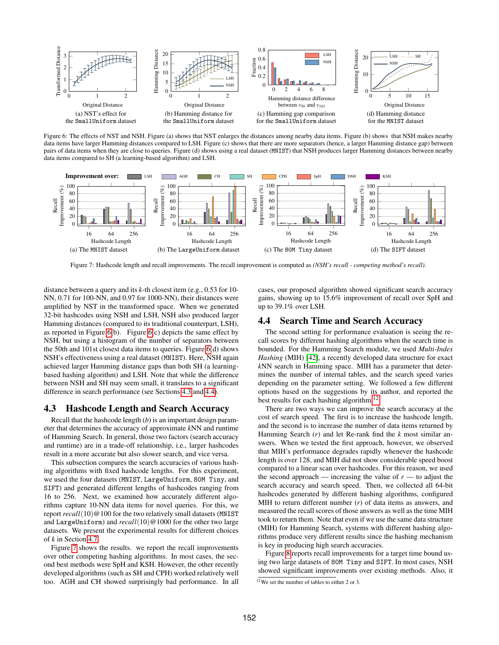<span id="page-8-1"></span>

Figure 6: The effects of NST and NSH. Figure (a) shows that NST enlarges the distances among nearby data items. Figure (b) shows that NSH makes nearby data items have larger Hamming distances compared to LSH. Figure (c) shows that there are more separators (hence, a larger Hamming distance gap) between pairs of data items when they are close to queries. Figure (d) shows using a real dataset (MNIST) that NSH produces larger Hamming distances between nearby data items compared to SH (a learning-based algorithm) and LSH.

<span id="page-8-3"></span>

Figure 7: Hashcode length and recall improvements. The recall improvement is computed as *(NSH's recall - competing method's recall)*.

distance between a query and its *k*-th closest item (e.g., 0.53 for 10- NN, 0.71 for 100-NN, and 0.97 for 1000-NN), their distances were amplified by NST in the transformed space. When we generated 32-bit hashcodes using NSH and LSH, NSH also produced larger Hamming distances (compared to its traditional counterpart, LSH), as reported in Figure  $6(b)$ . Figure  $6(c)$  depicts the same effect by NSH, but using a histogram of the number of separators between the 50th and 101st closest data items to queries. Figure [6\(](#page-8-1)d) shows NSH's effectiveness using a real dataset (MNIST). Here, NSH again achieved larger Hamming distance gaps than both SH (a learningbased hashing algorithm) and LSH. Note that while the difference between NSH and SH may seem small, it translates to a significant difference in search performance (see Sections [4.3](#page-8-0) and [4.4\)](#page-8-2).

#### <span id="page-8-0"></span>4.3 Hashcode Length and Search Accuracy

Recall that the hashcode length (*b*) is an important design parameter that determines the accuracy of approximate *k*NN and runtime of Hamming Search. In general, those two factors (search accuracy and runtime) are in a trade-off relationship, i.e., larger hashcodes result in a more accurate but also slower search, and vice versa.

This subsection compares the search accuracies of various hashing algorithms with fixed hashcode lengths. For this experiment, we used the four datasets (MNIST, LargeUniform, 80M Tiny, and SIFT) and generated different lengths of hashcodes ranging from 16 to 256. Next, we examined how accurately different algorithms capture 10-NN data items for novel queries. For this, we report *recall*(10)@100 for the two relatively small datasets (MNIST and LargeUniform) and *recall*(10)@1000 for the other two large datasets. We present the experimental results for different choices of *k* in Section [4.7.](#page-10-2)

Figure [7](#page-8-3) shows the results. we report the recall improvements over other competing hashing algorithms. In most cases, the second best methods were SpH and KSH. However, the other recently developed algorithms (such as SH and CPH) worked relatively well too. AGH and CH showed surprisingly bad performance. In all

cases, our proposed algorithm showed significant search accuracy gains, showing up to 15.6% improvement of recall over SpH and up to 39.1% over LSH.

#### <span id="page-8-2"></span>4.4 Search Time and Search Accuracy

The second setting for performance evaluation is seeing the recall scores by different hashing algorithms when the search time is bounded. For the Hamming Search module, we used *Multi-Index Hashing* (MIH) [\[42\]](#page-11-17), a recently developed data structure for exact *k*NN search in Hamming space. MIH has a parameter that determines the number of internal tables, and the search speed varies depending on the parameter setting. We followed a few different options based on the suggestions by its author, and reported the best results for each hashing algorithm.<sup>[12](#page-8-4)</sup>

There are two ways we can improve the search accuracy at the cost of search speed. The first is to increase the hashcode length, and the second is to increase the number of data items returned by Hamming Search (*r*) and let Re-rank find the *k* most similar answers. When we tested the first approach, however, we observed that MIH's performance degrades rapidly whenever the hashcode length is over 128, and MIH did not show considerable speed boost compared to a linear scan over hashcodes. For this reason, we used the second approach — increasing the value of  $r$  — to adjust the search accuracy and search speed. Then, we collected all 64-bit hashcodes generated by different hashing algorithms, configured MIH to return different number (*r*) of data items as answers, and measured the recall scores of those answers as well as the time MIH took to return them. Note that even if we use the same data structure (MIH) for Hamming Search, systems with different hashing algorithms produce very different results since the hashing mechanism is key in producing high search accuracies.

Figure [8](#page-9-2) reports recall improvements for a target time bound using two large datasets of 80M Tiny and SIFT. In most cases, NSH showed significant improvements over existing methods. Also, it

<span id="page-8-4"></span><sup>12</sup>We set the number of tables to either 2 or 3.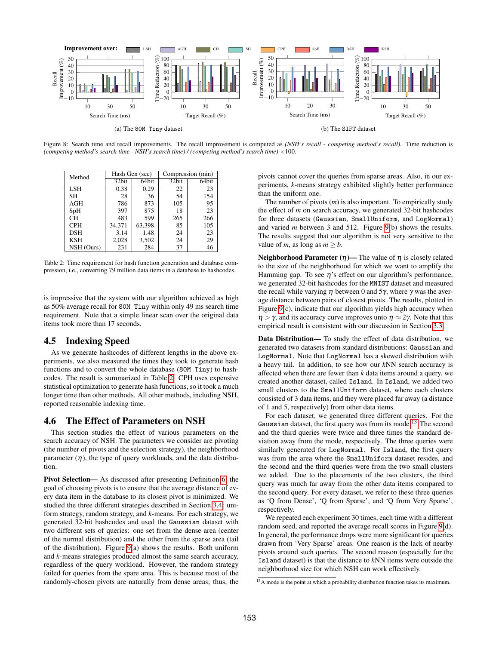<span id="page-9-2"></span>

Figure 8: Search time and recall improvements. The recall improvement is computed as *(NSH's recall - competing method's recall)*. Time reduction is *(competing method's search time - NSH's search time) / (competing method's search time)* ×100*.*

<span id="page-9-3"></span>

| Method     | Hash Gen (sec) |        | Compression (min) |       |
|------------|----------------|--------|-------------------|-------|
|            | 32bit          | 64bit  | 32bit             | 64bit |
| LSH        | 0.38           | 0.29   | 22                | 23    |
| <b>SH</b>  | 28             | 36     | 54                | 154   |
| AGH        | 786            | 873    | 105               | 95    |
| SpH        | 397            | 875    | 18                | 23    |
| CН         | 483            | 599    | 265               | 266   |
| <b>CPH</b> | 34.371         | 63,398 | 85                | 105   |
| <b>DSH</b> | 3.14           | 1.48   | 24                | 23    |
| <b>KSH</b> | 2,028          | 3,502  | 24                | 29    |
| NSH (Ours) | 231            | 284    | 37                | 46    |

Table 2: Time requirement for hash function generation and database compression, i.e., converting 79 million data items in a database to hashcodes.

is impressive that the system with our algorithm achieved as high as 50% average recall for 80M Tiny within only 49 ms search time requirement. Note that a simple linear scan over the original data items took more than 17 seconds.

# <span id="page-9-1"></span>4.5 Indexing Speed

As we generate hashcodes of different lengths in the above experiments, we also measured the times they took to generate hash functions and to convert the whole database (80M Tiny) to hashcodes. The result is summarized in Table [2.](#page-9-3) CPH uses expensive statistical optimization to generate hash functions, so it took a much longer time than other methods. All other methods, including NSH, reported reasonable indexing time.

# <span id="page-9-0"></span>4.6 The Effect of Parameters on NSH

This section studies the effect of various parameters on the search accuracy of NSH. The parameters we consider are pivoting (the number of pivots and the selection strategy), the neighborhood parameter  $(\eta)$ , the type of query workloads, and the data distribution.

Pivot Selection— As discussed after presenting Definition [6,](#page-4-4) the goal of choosing pivots is to ensure that the average distance of every data item in the database to its closest pivot is minimized. We studied the three different strategies described in Section [3.4:](#page-5-0) uniform strategy, random strategy, and *k*-means. For each strategy, we generated 32-bit hashcodes and used the Gaussian dataset with two different sets of queries: one set from the dense area (center of the normal distribution) and the other from the sparse area (tail of the distribution). Figure [9\(](#page-10-1)a) shows the results. Both uniform and *k*-means strategies produced almost the same search accuracy, regardless of the query workload. However, the random strategy failed for queries from the spare area. This is because most of the randomly-chosen pivots are naturally from dense areas; thus, the

pivots cannot cover the queries from sparse areas. Also, in our experiments, *k*-means strategy exhibited slightly better performance than the uniform one.

The number of pivots (*m*) is also important. To empirically study the effect of *m* on search accuracy, we generated 32-bit hashcodes for three datasets (Gaussian, SmallUniform, and LogNormal) and varied *m* between 3 and 512. Figure [9\(](#page-10-1)b) shows the results. The results suggest that our algorithm is not very sensitive to the value of *m*, as long as  $m > b$ .

Neighborhood Parameter  $(\eta)$ — The value of  $\eta$  is closely related to the size of the neighborhood for which we want to amplify the Hamming gap. To see  $\eta$ 's effect on our algorithm's performance, we generated 32-bit hashcodes for the MNIST dataset and measured the recall while varying  $\eta$  between 0 and 5 $\gamma$ , where  $\gamma$  was the average distance between pairs of closest pivots. The results, plotted in Figure [9\(](#page-10-1)c), indicate that our algorithm yields high accuracy when  $\eta > \gamma$ , and its accuracy curve improves unto  $\eta \approx 2\gamma$ . Note that this empirical result is consistent with our discussion in Section [3.3.](#page-4-0)

Data Distribution— To study the effect of data distribution, we generated two datasets from standard distributions: Gaussian and LogNormal. Note that LogNormal has a skewed distribution with a heavy tail. In addition, to see how our *k*NN search accuracy is affected when there are fewer than *k* data items around a query, we created another dataset, called Island. In Island, we added two small clusters to the SmallUniform dataset, where each clusters consisted of 3 data items, and they were placed far away (a distance of 1 and 5, respectively) from other data items.

For each dataset, we generated three different queries. For the Gaussian dataset, the first query was from its mode.<sup>[13](#page-9-4)</sup> The second and the third queries were twice and three times the standard deviation away from the mode, respectively. The three queries were similarly generated for LogNormal. For Island, the first query was from the area where the SmallUniform dataset resides, and the second and the third queries were from the two small clusters we added. Due to the placements of the two clusters, the third query was much far away from the other data items compared to the second query. For every dataset, we refer to these three queries as 'Q from Dense', 'Q from Sparse', and 'Q from Very Sparse', respectively.

We repeated each experiment 30 times, each time with a different random seed, and reported the average recall scores in Figure [9\(](#page-10-1)d). In general, the performance drops were more significant for queries drawn from 'Very Sparse' areas. One reason is the lack of nearby pivots around such queries. The second reason (especially for the Island dataset) is that the distance to *k*NN items were outside the neighborhood size for which NSH can work effectively.

<span id="page-9-4"></span><sup>&</sup>lt;sup>13</sup>A mode is the point at which a probability distribution function takes its maximum.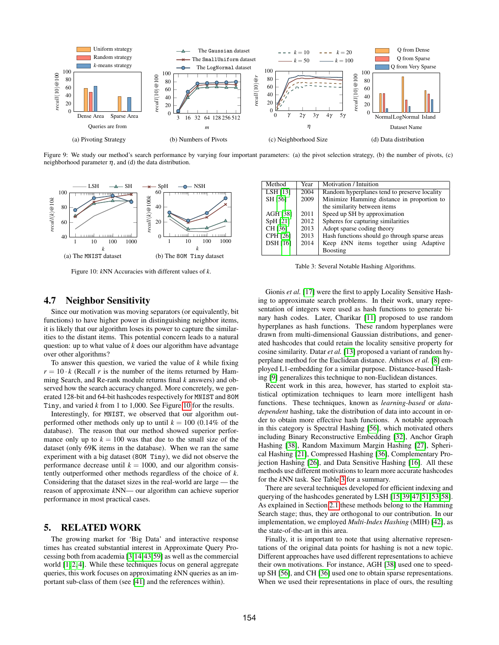<span id="page-10-1"></span>

Figure 9: We study our method's search performance by varying four important parameters: (a) the pivot selection strategy, (b) the number of pivots, (c) neighborhood parameter  $\eta$ , and (d) the data distribution.

<span id="page-10-3"></span>

Figure 10: *k*NN Accuracies with different values of *k*.

<span id="page-10-4"></span>

| Method          | Year | Motivation / Intuition                        |  |
|-----------------|------|-----------------------------------------------|--|
| LSH [13]        | 2004 | Random hyperplanes tend to preserve locality  |  |
| SH [56]         | 2009 | Minimize Hamming distance in proportion to    |  |
|                 |      | the similarity between items                  |  |
| <b>AGH [38]</b> | 2011 | Speed up SH by approximation                  |  |
| SpH [21]        | 2012 | Spheres for capturing similarities            |  |
| CH [36]         | 2013 | Adopt sparse coding theory                    |  |
| <b>CPH [26]</b> | 2013 | Hash functions should go through sparse areas |  |
| <b>DSH</b> [16] | 2014 | Keep kNN items together using Adaptive        |  |
|                 |      | Boosting                                      |  |

Table 3: Several Notable Hashing Algorithms.

# <span id="page-10-2"></span>4.7 Neighbor Sensitivity

Since our motivation was moving separators (or equivalently, bit functions) to have higher power in distinguishing neighbor items, it is likely that our algorithm loses its power to capture the similarities to the distant items. This potential concern leads to a natural question: up to what value of *k* does our algorithm have advantage over other algorithms?

To answer this question, we varied the value of *k* while fixing  $r = 10 \cdot k$  (Recall *r* is the number of the items returned by Hamming Search, and Re-rank module returns final *k* answers) and observed how the search accuracy changed. More concretely, we generated 128-bit and 64-bit hashcodes respectively for MNIST and 80M Tiny, and varied *k* from 1 to 1,000. See Figure [10](#page-10-3) for the results.

Interestingly, for MNIST, we observed that our algorithm outperformed other methods only up to until  $k = 100$  (0.14% of the database). The reason that our method showed superior performance only up to  $k = 100$  was that due to the small size of the dataset (only 69K items in the database). When we ran the same experiment with a big dataset (80M Tiny), we did not observe the performance decrease until  $k = 1000$ , and our algorithm consistently outperformed other methods regardless of the choice of *k*. Considering that the dataset sizes in the real-world are large — the reason of approximate *k*NN— our algorithm can achieve superior performance in most practical cases.

# <span id="page-10-0"></span>5. RELATED WORK

The growing market for 'Big Data' and interactive response times has created substantial interest in Approximate Query Processing both from academia [\[3,](#page-11-44)[14,](#page-11-45)[43](#page-11-46)[,59\]](#page-11-47) as well as the commercial world [\[1,](#page-11-48) [2,](#page-11-49) [4\]](#page-11-50). While these techniques focus on general aggregate queries, this work focuses on approximating *k*NN queries as an important sub-class of them (see [\[41\]](#page-11-51) and the references within).

Gionis et al. [\[17\]](#page-11-18) were the first to apply Locality Sensitive Hashing to approximate search problems. In their work, unary representation of integers were used as hash functions to generate binary hash codes. Later, Charikar [\[11\]](#page-11-20) proposed to use random hyperplanes as hash functions. These random hyperplanes were drawn from multi-dimensional Gaussian distributions, and generated hashcodes that could retain the locality sensitive property for cosine similarity. Datar *et al.* [\[13\]](#page-11-21) proposed a variant of random hyperplane method for the Euclidean distance. Athitsos *et al.* [\[8\]](#page-11-52) employed L1-embedding for a similar purpose. Distance-based Hashing [\[9\]](#page-11-53) generalizes this technique to non-Euclidean distances.

Recent work in this area, however, has started to exploit statistical optimization techniques to learn more intelligent hash functions. These techniques, known as *learning-based* or *datadependent* hashing, take the distribution of data into account in order to obtain more effective hash functions. A notable approach in this category is Spectral Hashing [\[56\]](#page-11-32), which motivated others including Binary Reconstructive Embedding [\[32\]](#page-11-27), Anchor Graph Hashing [\[38\]](#page-11-30), Random Maximum Margin Hashing [\[27\]](#page-11-26), Spherical Hashing [\[21\]](#page-11-24), Compressed Hashing [\[36\]](#page-11-29), Complementary Projection Hashing [\[26\]](#page-11-25), and Data Sensitive Hashing [\[16\]](#page-11-34). All these methods use different motivations to learn more accurate hashcodes for the *k*NN task. See Table [3](#page-10-4) for a summary.

There are several techniques developed for efficient indexing and querying of the hashcodes generated by LSH [\[15,](#page-11-54)[39,](#page-11-55)[47,](#page-11-56)[51,](#page-11-57)[53,](#page-11-58)[58\]](#page-11-15). As explained in Section [2.1](#page-2-1) these methods belong to the Hamming Search stage; thus, they are orthogonal to our contribution. In our implementation, we employed *Multi-Index Hashing* (MIH) [\[42\]](#page-11-17), as the state-of-the-art in this area.

Finally, it is important to note that using alternative representations of the original data points for hashing is not a new topic. Different approaches have used different representations to achieve their own motivations. For instance, AGH [\[38\]](#page-11-30) used one to speedup SH [\[56\]](#page-11-32), and CH [\[36\]](#page-11-29) used one to obtain sparse representations. When we used their representations in place of ours, the resulting